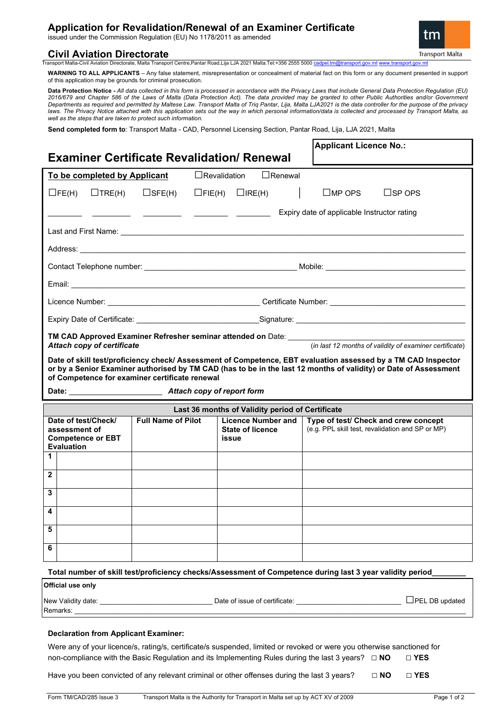# **Application for Revalidation/Renewal of an Examiner Certificate**

issued under the Commission Regulation (EU) No 1178/2011 as amended

### **Civil Aviation Directorate**

**Transport Malta** 

Transport Malta-Civil Aviation Directorate, Malta Transport Centre,Pantar Road,Lija LJA 2021 Malta.Tel:+356 2555 5000 ca

**WARNING TO ALL APPLICANTS** – Any false statement, misrepresentation or concealment of material fact on this form or any document presented in support of this application may be grounds for criminal prosecution.

**Data Protection Notice -** *All data collected in this form is processed in accordance with the Privacy Laws that include General Data Protection Regulation (EU) 2016/679 and Chapter 586 of the Laws of Malta (Data Protection Act). The data provided may be granted to other Public Authorities and/or Government Departments as required and permitted by Maltese Law. Transport Malta of Triq Pantar, Lija, Malta LJA2021 is the data controller for the purpose of the privacy*  laws. The Privacy Notice attached with this application sets out the way in which personal information/data is collected and processed by Transport Malta, as *well as the steps that are taken to protect such information.*

**Send completed form to**: Transport Malta - CAD, Personnel Licensing Section, Pantar Road, Lija, LJA 2021, Malta

| <b>Examiner Certificate Revalidation/ Renewal</b>                                                                                                                                                                                                                                   |               |                  |                                                               |                             |                                                                                          | <b>Applicant Licence No.:</b> |                       |
|-------------------------------------------------------------------------------------------------------------------------------------------------------------------------------------------------------------------------------------------------------------------------------------|---------------|------------------|---------------------------------------------------------------|-----------------------------|------------------------------------------------------------------------------------------|-------------------------------|-----------------------|
| $\Box$ Revalidation<br>$\Box$ Renewal<br>To be completed by Applicant                                                                                                                                                                                                               |               |                  |                                                               |                             |                                                                                          |                               |                       |
| $\Box$ FE(H)                                                                                                                                                                                                                                                                        | $\Box$ TRE(H) | $\square$ SFE(H) |                                                               | $\Box$ FIE(H) $\Box$ IRE(H) |                                                                                          | $\square$ MP OPS              | $\sqcup$ SP OPS       |
|                                                                                                                                                                                                                                                                                     |               |                  |                                                               |                             |                                                                                          |                               |                       |
| Expiry date of applicable Instructor rating                                                                                                                                                                                                                                         |               |                  |                                                               |                             |                                                                                          |                               |                       |
|                                                                                                                                                                                                                                                                                     |               |                  |                                                               |                             |                                                                                          |                               |                       |
| Address: <u>Communication</u>                                                                                                                                                                                                                                                       |               |                  |                                                               |                             |                                                                                          |                               |                       |
|                                                                                                                                                                                                                                                                                     |               |                  |                                                               |                             |                                                                                          |                               |                       |
|                                                                                                                                                                                                                                                                                     |               |                  |                                                               |                             |                                                                                          |                               |                       |
|                                                                                                                                                                                                                                                                                     |               |                  |                                                               |                             |                                                                                          |                               |                       |
|                                                                                                                                                                                                                                                                                     |               |                  |                                                               |                             |                                                                                          |                               |                       |
| TM CAD Approved Examiner Refresher seminar attended on Date: ___________<br>(in last 12 months of validity of examiner certificate)<br>Attach copy of certificate                                                                                                                   |               |                  |                                                               |                             |                                                                                          |                               |                       |
| Date of skill test/proficiency check/ Assessment of Competence, EBT evaluation assessed by a TM CAD Inspector<br>or by a Senior Examiner authorised by TM CAD (has to be in the last 12 months of validity) or Date of Assessment<br>of Competence for examiner certificate renewal |               |                  |                                                               |                             |                                                                                          |                               |                       |
| Last 36 months of Validity period of Certificate                                                                                                                                                                                                                                    |               |                  |                                                               |                             |                                                                                          |                               |                       |
| <b>Full Name of Pilot</b><br>Date of test/Check/<br>assessment of<br><b>Competence or EBT</b><br><b>Evaluation</b>                                                                                                                                                                  |               |                  | <b>Licence Number and</b><br><b>State of licence</b><br>issue |                             | Type of test/ Check and crew concept<br>(e.g. PPL skill test, revalidation and SP or MP) |                               |                       |
| 1.                                                                                                                                                                                                                                                                                  |               |                  |                                                               |                             |                                                                                          |                               |                       |
| $\mathbf{2}$                                                                                                                                                                                                                                                                        |               |                  |                                                               |                             |                                                                                          |                               |                       |
| 3                                                                                                                                                                                                                                                                                   |               |                  |                                                               |                             |                                                                                          |                               |                       |
| 4                                                                                                                                                                                                                                                                                   |               |                  |                                                               |                             |                                                                                          |                               |                       |
| 5                                                                                                                                                                                                                                                                                   |               |                  |                                                               |                             |                                                                                          |                               |                       |
| 6                                                                                                                                                                                                                                                                                   |               |                  |                                                               |                             |                                                                                          |                               |                       |
| Total number of skill test/proficiency checks/Assessment of Competence during last 3 year validity period                                                                                                                                                                           |               |                  |                                                               |                             |                                                                                          |                               |                       |
| Official use only                                                                                                                                                                                                                                                                   |               |                  |                                                               |                             |                                                                                          |                               |                       |
| Remarks: <u>_____________________________</u>                                                                                                                                                                                                                                       |               |                  |                                                               |                             |                                                                                          |                               | $\Box$ PEL DB updated |
|                                                                                                                                                                                                                                                                                     |               |                  |                                                               |                             |                                                                                          |                               |                       |

#### **Declaration from Applicant Examiner:**

Were any of your licence/s, rating/s, certificate/s suspended, limited or revoked or were you otherwise sanctioned for non-compliance with the Basic Regulation and its Implementing Rules during the last 3 years? **□ NO □ YES** 

Have you been convicted of any relevant criminal or other offenses during the last 3 years? **□ NO □ YES**